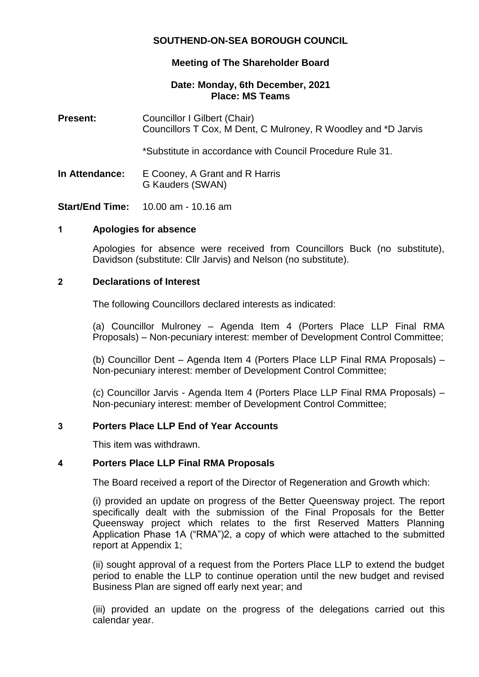# **SOUTHEND-ON-SEA BOROUGH COUNCIL**

# **Meeting of The Shareholder Board**

### **Date: Monday, 6th December, 2021 Place: MS Teams**

**Present:** Councillor I Gilbert (Chair) Councillors T Cox, M Dent, C Mulroney, R Woodley and \*D Jarvis

\*Substitute in accordance with Council Procedure Rule 31.

**In Attendance:** E Cooney, A Grant and R Harris G Kauders (SWAN)

**Start/End Time:** 10.00 am - 10.16 am

### **1 Apologies for absence**

Apologies for absence were received from Councillors Buck (no substitute), Davidson (substitute: Cllr Jarvis) and Nelson (no substitute).

### **2 Declarations of Interest**

The following Councillors declared interests as indicated:

(a) Councillor Mulroney – Agenda Item 4 (Porters Place LLP Final RMA Proposals) – Non-pecuniary interest: member of Development Control Committee;

(b) Councillor Dent – Agenda Item 4 (Porters Place LLP Final RMA Proposals) – Non-pecuniary interest: member of Development Control Committee;

(c) Councillor Jarvis - Agenda Item 4 (Porters Place LLP Final RMA Proposals) – Non-pecuniary interest: member of Development Control Committee;

### **3 Porters Place LLP End of Year Accounts**

This item was withdrawn.

### **4 Porters Place LLP Final RMA Proposals**

The Board received a report of the Director of Regeneration and Growth which:

(i) provided an update on progress of the Better Queensway project. The report specifically dealt with the submission of the Final Proposals for the Better Queensway project which relates to the first Reserved Matters Planning Application Phase 1A ("RMA")2, a copy of which were attached to the submitted report at Appendix 1;

(ii) sought approval of a request from the Porters Place LLP to extend the budget period to enable the LLP to continue operation until the new budget and revised Business Plan are signed off early next year; and

(iii) provided an update on the progress of the delegations carried out this calendar year.